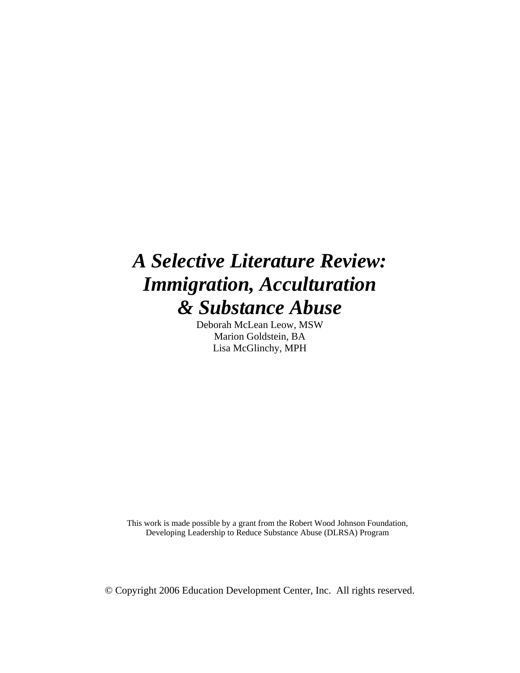# *A Selective Literature Review: Immigration, Acculturation & Substance Abuse*

Deborah McLean Leow, MSW Marion Goldstein, BA Lisa McGlinchy, MPH

This work is made possible by a grant from the Robert Wood Johnson Foundation, Developing Leadership to Reduce Substance Abuse (DLRSA) Program

© Copyright 2006 Education Development Center, Inc. All rights reserved.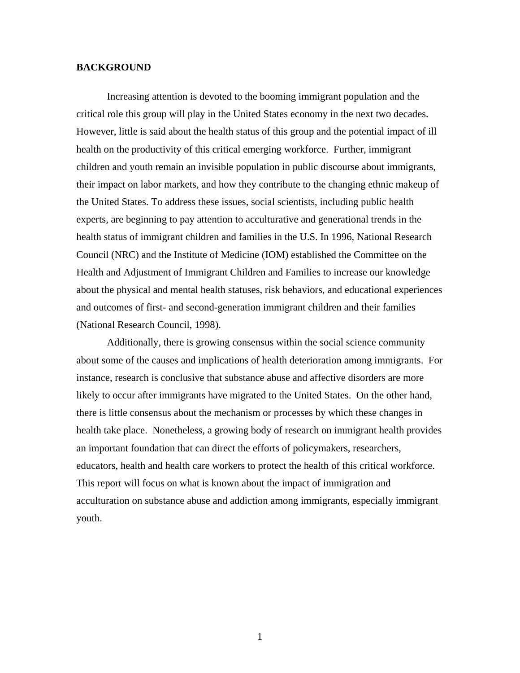### **BACKGROUND**

Increasing attention is devoted to the booming immigrant population and the critical role this group will play in the United States economy in the next two decades. However, little is said about the health status of this group and the potential impact of ill health on the productivity of this critical emerging workforce. Further, immigrant children and youth remain an invisible population in public discourse about immigrants, their impact on labor markets, and how they contribute to the changing ethnic makeup of the United States. To address these issues, social scientists, including public health experts, are beginning to pay attention to acculturative and generational trends in the health status of immigrant children and families in the U.S. In 1996, National Research Council (NRC) and the Institute of Medicine (IOM) established the Committee on the Health and Adjustment of Immigrant Children and Families to increase our knowledge about the physical and mental health statuses, risk behaviors, and educational experiences and outcomes of first- and second-generation immigrant children and their families (National Research Council, 1998).

Additionally, there is growing consensus within the social science community about some of the causes and implications of health deterioration among immigrants. For instance, research is conclusive that substance abuse and affective disorders are more likely to occur after immigrants have migrated to the United States. On the other hand, there is little consensus about the mechanism or processes by which these changes in health take place. Nonetheless, a growing body of research on immigrant health provides an important foundation that can direct the efforts of policymakers, researchers, educators, health and health care workers to protect the health of this critical workforce. This report will focus on what is known about the impact of immigration and acculturation on substance abuse and addiction among immigrants, especially immigrant youth.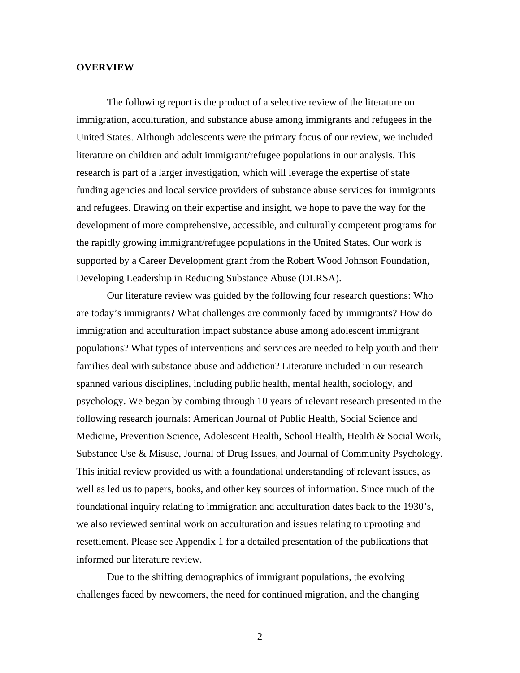#### **OVERVIEW**

 The following report is the product of a selective review of the literature on immigration, acculturation, and substance abuse among immigrants and refugees in the United States. Although adolescents were the primary focus of our review, we included literature on children and adult immigrant/refugee populations in our analysis. This research is part of a larger investigation, which will leverage the expertise of state funding agencies and local service providers of substance abuse services for immigrants and refugees. Drawing on their expertise and insight, we hope to pave the way for the development of more comprehensive, accessible, and culturally competent programs for the rapidly growing immigrant/refugee populations in the United States. Our work is supported by a Career Development grant from the Robert Wood Johnson Foundation, Developing Leadership in Reducing Substance Abuse (DLRSA).

 Our literature review was guided by the following four research questions: Who are today's immigrants? What challenges are commonly faced by immigrants? How do immigration and acculturation impact substance abuse among adolescent immigrant populations? What types of interventions and services are needed to help youth and their families deal with substance abuse and addiction? Literature included in our research spanned various disciplines, including public health, mental health, sociology, and psychology. We began by combing through 10 years of relevant research presented in the following research journals: American Journal of Public Health, Social Science and Medicine, Prevention Science, Adolescent Health, School Health, Health & Social Work, Substance Use & Misuse, Journal of Drug Issues, and Journal of Community Psychology. This initial review provided us with a foundational understanding of relevant issues, as well as led us to papers, books, and other key sources of information. Since much of the foundational inquiry relating to immigration and acculturation dates back to the 1930's, we also reviewed seminal work on acculturation and issues relating to uprooting and resettlement. Please see Appendix 1 for a detailed presentation of the publications that informed our literature review.

Due to the shifting demographics of immigrant populations, the evolving challenges faced by newcomers, the need for continued migration, and the changing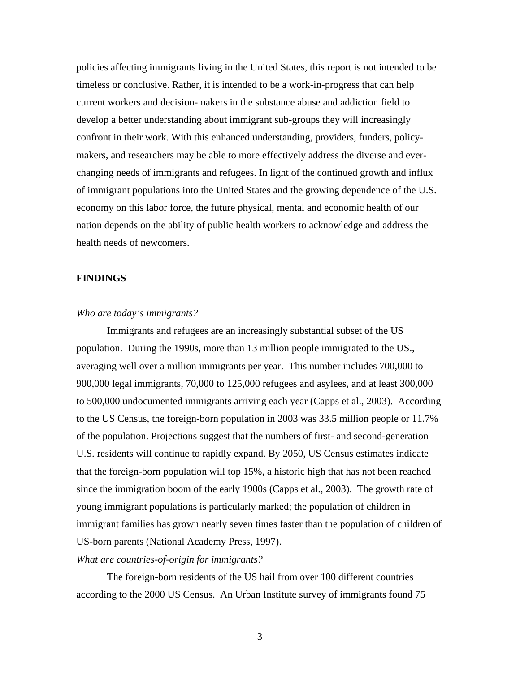policies affecting immigrants living in the United States, this report is not intended to be timeless or conclusive. Rather, it is intended to be a work-in-progress that can help current workers and decision-makers in the substance abuse and addiction field to develop a better understanding about immigrant sub-groups they will increasingly confront in their work. With this enhanced understanding, providers, funders, policymakers, and researchers may be able to more effectively address the diverse and everchanging needs of immigrants and refugees. In light of the continued growth and influx of immigrant populations into the United States and the growing dependence of the U.S. economy on this labor force, the future physical, mental and economic health of our nation depends on the ability of public health workers to acknowledge and address the health needs of newcomers.

## **FINDINGS**

### *Who are today's immigrants?*

Immigrants and refugees are an increasingly substantial subset of the US population. During the 1990s, more than 13 million people immigrated to the US., averaging well over a million immigrants per year. This number includes 700,000 to 900,000 legal immigrants, 70,000 to 125,000 refugees and asylees, and at least 300,000 to 500,000 undocumented immigrants arriving each year (Capps et al., 2003). According to the US Census, the foreign-born population in 2003 was 33.5 million people or 11.7% of the population. Projections suggest that the numbers of first- and second-generation U.S. residents will continue to rapidly expand. By 2050, US Census estimates indicate that the foreign-born population will top 15%, a historic high that has not been reached since the immigration boom of the early 1900s (Capps et al., 2003). The growth rate of young immigrant populations is particularly marked; the population of children in immigrant families has grown nearly seven times faster than the population of children of US-born parents (National Academy Press, 1997).

# *What are countries-of-origin for immigrants?*

The foreign-born residents of the US hail from over 100 different countries according to the 2000 US Census. An Urban Institute survey of immigrants found 75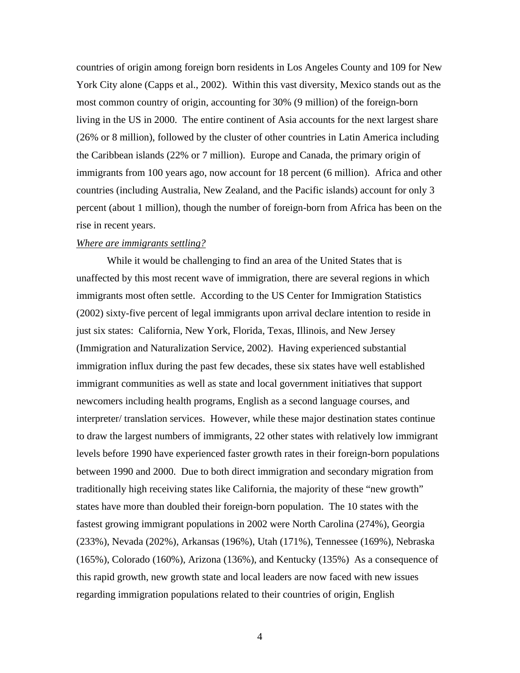countries of origin among foreign born residents in Los Angeles County and 109 for New York City alone (Capps et al., 2002). Within this vast diversity, Mexico stands out as the most common country of origin, accounting for 30% (9 million) of the foreign-born living in the US in 2000. The entire continent of Asia accounts for the next largest share (26% or 8 million), followed by the cluster of other countries in Latin America including the Caribbean islands (22% or 7 million). Europe and Canada, the primary origin of immigrants from 100 years ago, now account for 18 percent (6 million). Africa and other countries (including Australia, New Zealand, and the Pacific islands) account for only 3 percent (about 1 million), though the number of foreign-born from Africa has been on the rise in recent years.

#### *Where are immigrants settling?*

While it would be challenging to find an area of the United States that is unaffected by this most recent wave of immigration, there are several regions in which immigrants most often settle. According to the US Center for Immigration Statistics (2002) sixty-five percent of legal immigrants upon arrival declare intention to reside in just six states: California, New York, Florida, Texas, Illinois, and New Jersey (Immigration and Naturalization Service, 2002). Having experienced substantial immigration influx during the past few decades, these six states have well established immigrant communities as well as state and local government initiatives that support newcomers including health programs, English as a second language courses, and interpreter/ translation services. However, while these major destination states continue to draw the largest numbers of immigrants, 22 other states with relatively low immigrant levels before 1990 have experienced faster growth rates in their foreign-born populations between 1990 and 2000. Due to both direct immigration and secondary migration from traditionally high receiving states like California, the majority of these "new growth" states have more than doubled their foreign-born population. The 10 states with the fastest growing immigrant populations in 2002 were North Carolina (274%), Georgia (233%), Nevada (202%), Arkansas (196%), Utah (171%), Tennessee (169%), Nebraska (165%), Colorado (160%), Arizona (136%), and Kentucky (135%) As a consequence of this rapid growth, new growth state and local leaders are now faced with new issues regarding immigration populations related to their countries of origin, English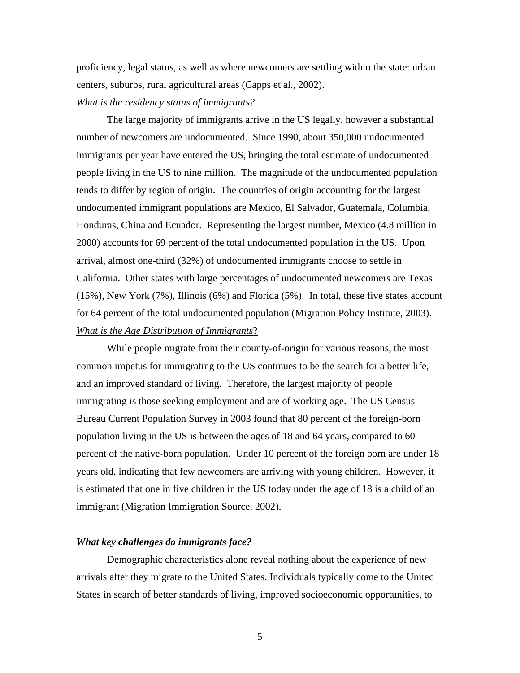proficiency, legal status, as well as where newcomers are settling within the state: urban centers, suburbs, rural agricultural areas (Capps et al., 2002).

## *What is the residency status of immigrants?*

The large majority of immigrants arrive in the US legally, however a substantial number of newcomers are undocumented. Since 1990, about 350,000 undocumented immigrants per year have entered the US, bringing the total estimate of undocumented people living in the US to nine million. The magnitude of the undocumented population tends to differ by region of origin. The countries of origin accounting for the largest undocumented immigrant populations are Mexico, El Salvador, Guatemala, Columbia, Honduras, China and Ecuador. Representing the largest number, Mexico (4.8 million in 2000) accounts for 69 percent of the total undocumented population in the US. Upon arrival, almost one-third (32%) of undocumented immigrants choose to settle in California. Other states with large percentages of undocumented newcomers are Texas (15%), New York (7%), Illinois (6%) and Florida (5%). In total, these five states account for 64 percent of the total undocumented population (Migration Policy Institute, 2003). *What is the Age Distribution of Immigrants*?

While people migrate from their county-of-origin for various reasons, the most common impetus for immigrating to the US continues to be the search for a better life, and an improved standard of living. Therefore, the largest majority of people immigrating is those seeking employment and are of working age. The US Census Bureau Current Population Survey in 2003 found that 80 percent of the foreign-born population living in the US is between the ages of 18 and 64 years, compared to 60 percent of the native-born population. Under 10 percent of the foreign born are under 18 years old, indicating that few newcomers are arriving with young children. However, it is estimated that one in five children in the US today under the age of 18 is a child of an immigrant (Migration Immigration Source, 2002).

# *What key challenges do immigrants face?*

Demographic characteristics alone reveal nothing about the experience of new arrivals after they migrate to the United States. Individuals typically come to the United States in search of better standards of living, improved socioeconomic opportunities, to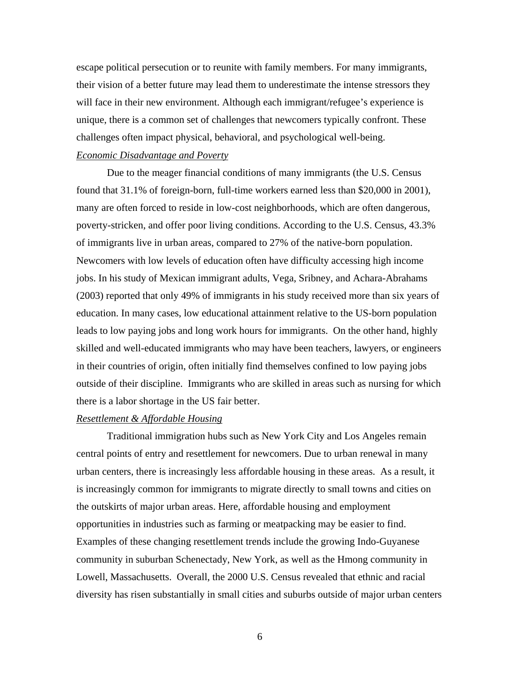escape political persecution or to reunite with family members. For many immigrants, their vision of a better future may lead them to underestimate the intense stressors they will face in their new environment. Although each immigrant/refugee's experience is unique, there is a common set of challenges that newcomers typically confront. These challenges often impact physical, behavioral, and psychological well-being.

#### *Economic Disadvantage and Poverty*

Due to the meager financial conditions of many immigrants (the U.S. Census found that 31.1% of foreign-born, full-time workers earned less than \$20,000 in 2001), many are often forced to reside in low-cost neighborhoods, which are often dangerous, poverty-stricken, and offer poor living conditions. According to the U.S. Census, 43.3% of immigrants live in urban areas, compared to 27% of the native-born population. Newcomers with low levels of education often have difficulty accessing high income jobs. In his study of Mexican immigrant adults, Vega, Sribney, and Achara-Abrahams (2003) reported that only 49% of immigrants in his study received more than six years of education. In many cases, low educational attainment relative to the US-born population leads to low paying jobs and long work hours for immigrants. On the other hand, highly skilled and well-educated immigrants who may have been teachers, lawyers, or engineers in their countries of origin, often initially find themselves confined to low paying jobs outside of their discipline. Immigrants who are skilled in areas such as nursing for which there is a labor shortage in the US fair better.

# *Resettlement & Affordable Housing*

Traditional immigration hubs such as New York City and Los Angeles remain central points of entry and resettlement for newcomers. Due to urban renewal in many urban centers, there is increasingly less affordable housing in these areas. As a result, it is increasingly common for immigrants to migrate directly to small towns and cities on the outskirts of major urban areas. Here, affordable housing and employment opportunities in industries such as farming or meatpacking may be easier to find. Examples of these changing resettlement trends include the growing Indo-Guyanese community in suburban Schenectady, New York, as well as the Hmong community in Lowell, Massachusetts. Overall, the 2000 U.S. Census revealed that ethnic and racial diversity has risen substantially in small cities and suburbs outside of major urban centers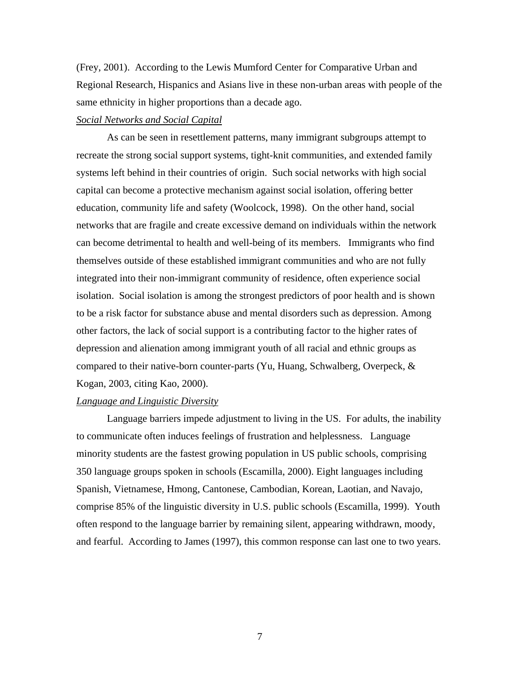(Frey, 2001). According to the Lewis Mumford Center for Comparative Urban and Regional Research, Hispanics and Asians live in these non-urban areas with people of the same ethnicity in higher proportions than a decade ago.

# *Social Networks and Social Capital*

As can be seen in resettlement patterns, many immigrant subgroups attempt to recreate the strong social support systems, tight-knit communities, and extended family systems left behind in their countries of origin. Such social networks with high social capital can become a protective mechanism against social isolation, offering better education, community life and safety (Woolcock, 1998). On the other hand, social networks that are fragile and create excessive demand on individuals within the network can become detrimental to health and well-being of its members. Immigrants who find themselves outside of these established immigrant communities and who are not fully integrated into their non-immigrant community of residence, often experience social isolation. Social isolation is among the strongest predictors of poor health and is shown to be a risk factor for substance abuse and mental disorders such as depression. Among other factors, the lack of social support is a contributing factor to the higher rates of depression and alienation among immigrant youth of all racial and ethnic groups as compared to their native-born counter-parts (Yu, Huang, Schwalberg, Overpeck, & Kogan, 2003, citing Kao, 2000).

# *Language and Linguistic Diversity*

Language barriers impede adjustment to living in the US. For adults, the inability to communicate often induces feelings of frustration and helplessness. Language minority students are the fastest growing population in US public schools, comprising 350 language groups spoken in schools (Escamilla, 2000). Eight languages including Spanish, Vietnamese, Hmong, Cantonese, Cambodian, Korean, Laotian, and Navajo, comprise 85% of the linguistic diversity in U.S. public schools (Escamilla, 1999). Youth often respond to the language barrier by remaining silent, appearing withdrawn, moody, and fearful. According to James (1997), this common response can last one to two years.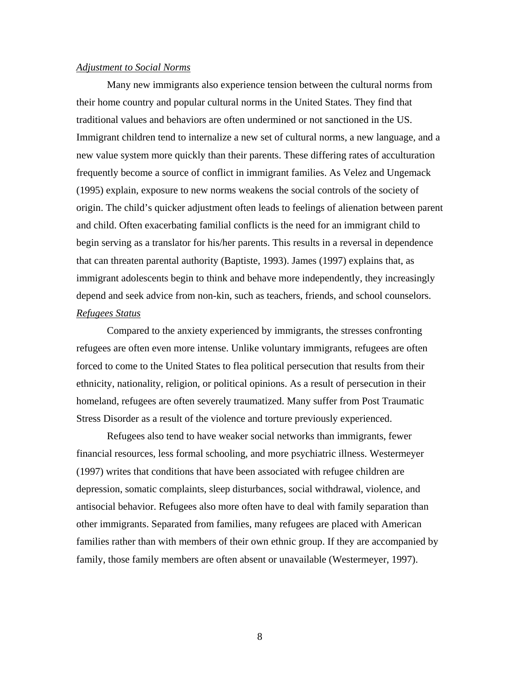#### *Adjustment to Social Norms*

Many new immigrants also experience tension between the cultural norms from their home country and popular cultural norms in the United States. They find that traditional values and behaviors are often undermined or not sanctioned in the US. Immigrant children tend to internalize a new set of cultural norms, a new language, and a new value system more quickly than their parents. These differing rates of acculturation frequently become a source of conflict in immigrant families. As Velez and Ungemack (1995) explain, exposure to new norms weakens the social controls of the society of origin. The child's quicker adjustment often leads to feelings of alienation between parent and child. Often exacerbating familial conflicts is the need for an immigrant child to begin serving as a translator for his/her parents. This results in a reversal in dependence that can threaten parental authority (Baptiste, 1993). James (1997) explains that, as immigrant adolescents begin to think and behave more independently, they increasingly depend and seek advice from non-kin, such as teachers, friends, and school counselors. *Refugees Status*

Compared to the anxiety experienced by immigrants, the stresses confronting refugees are often even more intense. Unlike voluntary immigrants, refugees are often forced to come to the United States to flea political persecution that results from their ethnicity, nationality, religion, or political opinions. As a result of persecution in their homeland, refugees are often severely traumatized. Many suffer from Post Traumatic Stress Disorder as a result of the violence and torture previously experienced.

Refugees also tend to have weaker social networks than immigrants, fewer financial resources, less formal schooling, and more psychiatric illness. Westermeyer (1997) writes that conditions that have been associated with refugee children are depression, somatic complaints, sleep disturbances, social withdrawal, violence, and antisocial behavior. Refugees also more often have to deal with family separation than other immigrants. Separated from families, many refugees are placed with American families rather than with members of their own ethnic group. If they are accompanied by family, those family members are often absent or unavailable (Westermeyer, 1997).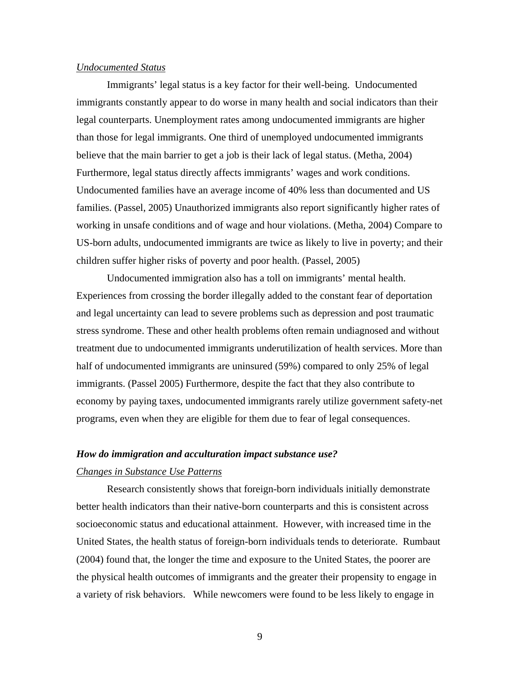## *Undocumented Status*

Immigrants' legal status is a key factor for their well-being. Undocumented immigrants constantly appear to do worse in many health and social indicators than their legal counterparts. Unemployment rates among undocumented immigrants are higher than those for legal immigrants. One third of unemployed undocumented immigrants believe that the main barrier to get a job is their lack of legal status. (Metha, 2004) Furthermore, legal status directly affects immigrants' wages and work conditions. Undocumented families have an average income of 40% less than documented and US families. (Passel, 2005) Unauthorized immigrants also report significantly higher rates of working in unsafe conditions and of wage and hour violations. (Metha, 2004) Compare to US-born adults, undocumented immigrants are twice as likely to live in poverty; and their children suffer higher risks of poverty and poor health. (Passel, 2005)

 Undocumented immigration also has a toll on immigrants' mental health. Experiences from crossing the border illegally added to the constant fear of deportation and legal uncertainty can lead to severe problems such as depression and post traumatic stress syndrome. These and other health problems often remain undiagnosed and without treatment due to undocumented immigrants underutilization of health services. More than half of undocumented immigrants are uninsured (59%) compared to only 25% of legal immigrants. (Passel 2005) Furthermore, despite the fact that they also contribute to economy by paying taxes, undocumented immigrants rarely utilize government safety-net programs, even when they are eligible for them due to fear of legal consequences.

# *How do immigration and acculturation impact substance use? Changes in Substance Use Patterns*

Research consistently shows that foreign-born individuals initially demonstrate better health indicators than their native-born counterparts and this is consistent across socioeconomic status and educational attainment. However, with increased time in the United States, the health status of foreign-born individuals tends to deteriorate. Rumbaut (2004) found that, the longer the time and exposure to the United States, the poorer are the physical health outcomes of immigrants and the greater their propensity to engage in a variety of risk behaviors. While newcomers were found to be less likely to engage in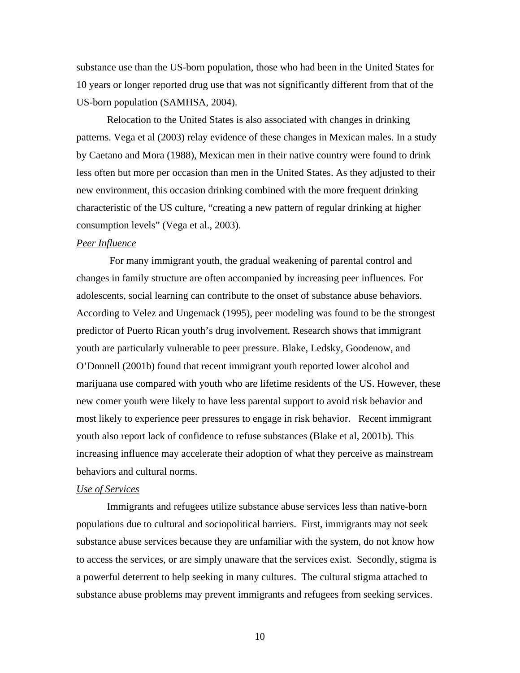substance use than the US-born population, those who had been in the United States for 10 years or longer reported drug use that was not significantly different from that of the US-born population (SAMHSA, 2004).

Relocation to the United States is also associated with changes in drinking patterns. Vega et al (2003) relay evidence of these changes in Mexican males. In a study by Caetano and Mora (1988), Mexican men in their native country were found to drink less often but more per occasion than men in the United States. As they adjusted to their new environment, this occasion drinking combined with the more frequent drinking characteristic of the US culture, "creating a new pattern of regular drinking at higher consumption levels" (Vega et al., 2003).

# *Peer Influence*

 For many immigrant youth, the gradual weakening of parental control and changes in family structure are often accompanied by increasing peer influences. For adolescents, social learning can contribute to the onset of substance abuse behaviors. According to Velez and Ungemack (1995), peer modeling was found to be the strongest predictor of Puerto Rican youth's drug involvement. Research shows that immigrant youth are particularly vulnerable to peer pressure. Blake, Ledsky, Goodenow, and O'Donnell (2001b) found that recent immigrant youth reported lower alcohol and marijuana use compared with youth who are lifetime residents of the US. However, these new comer youth were likely to have less parental support to avoid risk behavior and most likely to experience peer pressures to engage in risk behavior. Recent immigrant youth also report lack of confidence to refuse substances (Blake et al, 2001b). This increasing influence may accelerate their adoption of what they perceive as mainstream behaviors and cultural norms.

#### *Use of Services*

Immigrants and refugees utilize substance abuse services less than native-born populations due to cultural and sociopolitical barriers. First, immigrants may not seek substance abuse services because they are unfamiliar with the system, do not know how to access the services, or are simply unaware that the services exist. Secondly, stigma is a powerful deterrent to help seeking in many cultures. The cultural stigma attached to substance abuse problems may prevent immigrants and refugees from seeking services.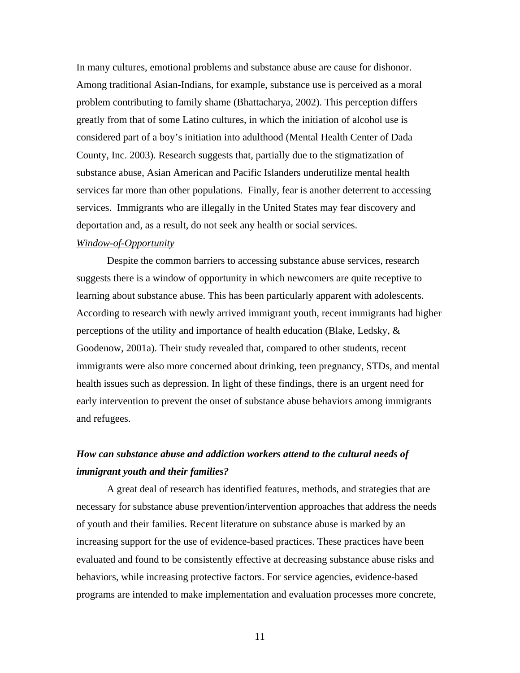In many cultures, emotional problems and substance abuse are cause for dishonor. Among traditional Asian-Indians, for example, substance use is perceived as a moral problem contributing to family shame (Bhattacharya, 2002). This perception differs greatly from that of some Latino cultures, in which the initiation of alcohol use is considered part of a boy's initiation into adulthood (Mental Health Center of Dada County, Inc. 2003). Research suggests that, partially due to the stigmatization of substance abuse, Asian American and Pacific Islanders underutilize mental health services far more than other populations. Finally, fear is another deterrent to accessing services. Immigrants who are illegally in the United States may fear discovery and deportation and, as a result, do not seek any health or social services.

# *Window-of-Opportunity*

 Despite the common barriers to accessing substance abuse services, research suggests there is a window of opportunity in which newcomers are quite receptive to learning about substance abuse. This has been particularly apparent with adolescents. According to research with newly arrived immigrant youth, recent immigrants had higher perceptions of the utility and importance of health education (Blake, Ledsky, & Goodenow, 2001a). Their study revealed that, compared to other students, recent immigrants were also more concerned about drinking, teen pregnancy, STDs, and mental health issues such as depression. In light of these findings, there is an urgent need for early intervention to prevent the onset of substance abuse behaviors among immigrants and refugees.

# *How can substance abuse and addiction workers attend to the cultural needs of immigrant youth and their families?*

 A great deal of research has identified features, methods, and strategies that are necessary for substance abuse prevention/intervention approaches that address the needs of youth and their families. Recent literature on substance abuse is marked by an increasing support for the use of evidence-based practices. These practices have been evaluated and found to be consistently effective at decreasing substance abuse risks and behaviors, while increasing protective factors. For service agencies, evidence-based programs are intended to make implementation and evaluation processes more concrete,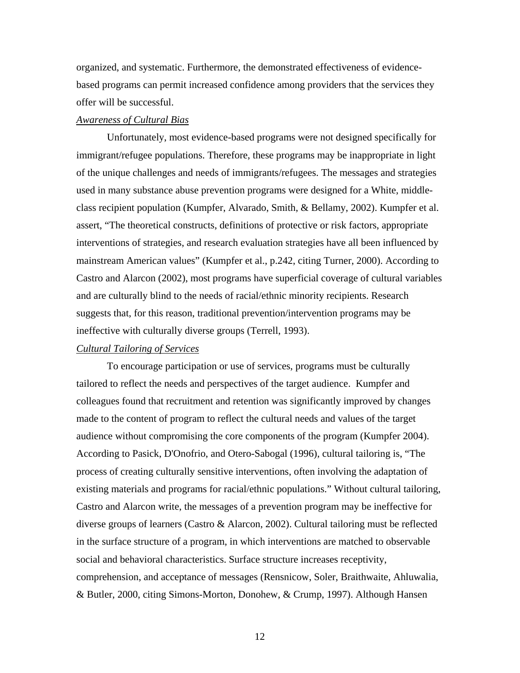organized, and systematic. Furthermore, the demonstrated effectiveness of evidencebased programs can permit increased confidence among providers that the services they offer will be successful.

#### *Awareness of Cultural Bias*

Unfortunately, most evidence-based programs were not designed specifically for immigrant/refugee populations. Therefore, these programs may be inappropriate in light of the unique challenges and needs of immigrants/refugees. The messages and strategies used in many substance abuse prevention programs were designed for a White, middleclass recipient population (Kumpfer, Alvarado, Smith, & Bellamy, 2002). Kumpfer et al. assert, "The theoretical constructs, definitions of protective or risk factors, appropriate interventions of strategies, and research evaluation strategies have all been influenced by mainstream American values" (Kumpfer et al., p.242, citing Turner, 2000). According to Castro and Alarcon (2002), most programs have superficial coverage of cultural variables and are culturally blind to the needs of racial/ethnic minority recipients. Research suggests that, for this reason, traditional prevention/intervention programs may be ineffective with culturally diverse groups (Terrell, 1993).

# *Cultural Tailoring of Services*

To encourage participation or use of services, programs must be culturally tailored to reflect the needs and perspectives of the target audience. Kumpfer and colleagues found that recruitment and retention was significantly improved by changes made to the content of program to reflect the cultural needs and values of the target audience without compromising the core components of the program (Kumpfer 2004). According to Pasick, D'Onofrio, and Otero-Sabogal (1996), cultural tailoring is, "The process of creating culturally sensitive interventions, often involving the adaptation of existing materials and programs for racial/ethnic populations." Without cultural tailoring, Castro and Alarcon write, the messages of a prevention program may be ineffective for diverse groups of learners (Castro & Alarcon, 2002). Cultural tailoring must be reflected in the surface structure of a program, in which interventions are matched to observable social and behavioral characteristics. Surface structure increases receptivity, comprehension, and acceptance of messages (Rensnicow, Soler, Braithwaite, Ahluwalia, & Butler, 2000, citing Simons-Morton, Donohew, & Crump, 1997). Although Hansen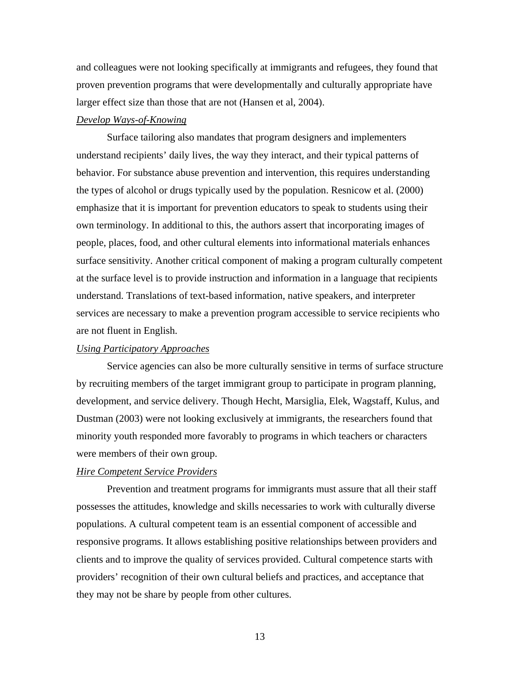and colleagues were not looking specifically at immigrants and refugees, they found that proven prevention programs that were developmentally and culturally appropriate have larger effect size than those that are not (Hansen et al, 2004).

# *Develop Ways-of-Knowing*

Surface tailoring also mandates that program designers and implementers understand recipients' daily lives, the way they interact, and their typical patterns of behavior. For substance abuse prevention and intervention, this requires understanding the types of alcohol or drugs typically used by the population. Resnicow et al. (2000) emphasize that it is important for prevention educators to speak to students using their own terminology. In additional to this, the authors assert that incorporating images of people, places, food, and other cultural elements into informational materials enhances surface sensitivity. Another critical component of making a program culturally competent at the surface level is to provide instruction and information in a language that recipients understand. Translations of text-based information, native speakers, and interpreter services are necessary to make a prevention program accessible to service recipients who are not fluent in English.

#### *Using Participatory Approaches*

Service agencies can also be more culturally sensitive in terms of surface structure by recruiting members of the target immigrant group to participate in program planning, development, and service delivery. Though Hecht, Marsiglia, Elek, Wagstaff, Kulus, and Dustman (2003) were not looking exclusively at immigrants, the researchers found that minority youth responded more favorably to programs in which teachers or characters were members of their own group.

#### *Hire Competent Service Providers*

Prevention and treatment programs for immigrants must assure that all their staff possesses the attitudes, knowledge and skills necessaries to work with culturally diverse populations. A cultural competent team is an essential component of accessible and responsive programs. It allows establishing positive relationships between providers and clients and to improve the quality of services provided. Cultural competence starts with providers' recognition of their own cultural beliefs and practices, and acceptance that they may not be share by people from other cultures.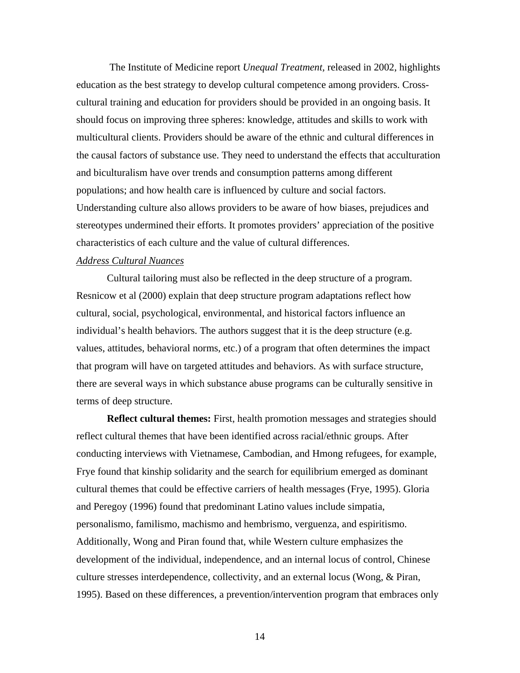The Institute of Medicine report *Unequal Treatment,* released in 2002, highlights education as the best strategy to develop cultural competence among providers. Crosscultural training and education for providers should be provided in an ongoing basis. It should focus on improving three spheres: knowledge, attitudes and skills to work with multicultural clients. Providers should be aware of the ethnic and cultural differences in the causal factors of substance use. They need to understand the effects that acculturation and biculturalism have over trends and consumption patterns among different populations; and how health care is influenced by culture and social factors. Understanding culture also allows providers to be aware of how biases, prejudices and stereotypes undermined their efforts. It promotes providers' appreciation of the positive characteristics of each culture and the value of cultural differences.

#### *Address Cultural Nuances*

Cultural tailoring must also be reflected in the deep structure of a program. Resnicow et al (2000) explain that deep structure program adaptations reflect how cultural, social, psychological, environmental, and historical factors influence an individual's health behaviors. The authors suggest that it is the deep structure (e.g. values, attitudes, behavioral norms, etc.) of a program that often determines the impact that program will have on targeted attitudes and behaviors. As with surface structure, there are several ways in which substance abuse programs can be culturally sensitive in terms of deep structure.

**Reflect cultural themes:** First, health promotion messages and strategies should reflect cultural themes that have been identified across racial/ethnic groups. After conducting interviews with Vietnamese, Cambodian, and Hmong refugees, for example, Frye found that kinship solidarity and the search for equilibrium emerged as dominant cultural themes that could be effective carriers of health messages (Frye, 1995). Gloria and Peregoy (1996) found that predominant Latino values include simpatia, personalismo, familismo, machismo and hembrismo, verguenza, and espiritismo. Additionally, Wong and Piran found that, while Western culture emphasizes the development of the individual, independence, and an internal locus of control, Chinese culture stresses interdependence, collectivity, and an external locus (Wong, & Piran, 1995). Based on these differences, a prevention/intervention program that embraces only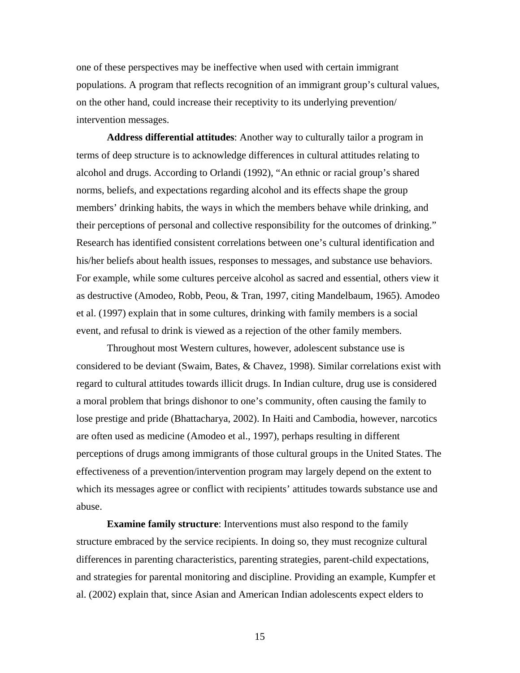one of these perspectives may be ineffective when used with certain immigrant populations. A program that reflects recognition of an immigrant group's cultural values, on the other hand, could increase their receptivity to its underlying prevention/ intervention messages.

**Address differential attitudes**: Another way to culturally tailor a program in terms of deep structure is to acknowledge differences in cultural attitudes relating to alcohol and drugs. According to Orlandi (1992), "An ethnic or racial group's shared norms, beliefs, and expectations regarding alcohol and its effects shape the group members' drinking habits, the ways in which the members behave while drinking, and their perceptions of personal and collective responsibility for the outcomes of drinking." Research has identified consistent correlations between one's cultural identification and his/her beliefs about health issues, responses to messages, and substance use behaviors. For example, while some cultures perceive alcohol as sacred and essential, others view it as destructive (Amodeo, Robb, Peou, & Tran, 1997, citing Mandelbaum, 1965). Amodeo et al. (1997) explain that in some cultures, drinking with family members is a social event, and refusal to drink is viewed as a rejection of the other family members.

Throughout most Western cultures, however, adolescent substance use is considered to be deviant (Swaim, Bates, & Chavez, 1998). Similar correlations exist with regard to cultural attitudes towards illicit drugs. In Indian culture, drug use is considered a moral problem that brings dishonor to one's community, often causing the family to lose prestige and pride (Bhattacharya, 2002). In Haiti and Cambodia, however, narcotics are often used as medicine (Amodeo et al., 1997), perhaps resulting in different perceptions of drugs among immigrants of those cultural groups in the United States. The effectiveness of a prevention/intervention program may largely depend on the extent to which its messages agree or conflict with recipients' attitudes towards substance use and abuse.

**Examine family structure**: Interventions must also respond to the family structure embraced by the service recipients. In doing so, they must recognize cultural differences in parenting characteristics, parenting strategies, parent-child expectations, and strategies for parental monitoring and discipline. Providing an example, Kumpfer et al. (2002) explain that, since Asian and American Indian adolescents expect elders to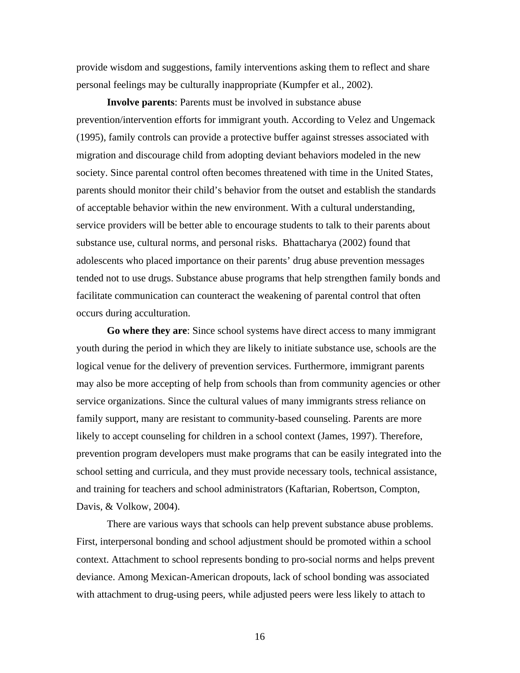provide wisdom and suggestions, family interventions asking them to reflect and share personal feelings may be culturally inappropriate (Kumpfer et al., 2002).

**Involve parents**: Parents must be involved in substance abuse prevention/intervention efforts for immigrant youth. According to Velez and Ungemack (1995), family controls can provide a protective buffer against stresses associated with migration and discourage child from adopting deviant behaviors modeled in the new society. Since parental control often becomes threatened with time in the United States, parents should monitor their child's behavior from the outset and establish the standards of acceptable behavior within the new environment. With a cultural understanding, service providers will be better able to encourage students to talk to their parents about substance use, cultural norms, and personal risks. Bhattacharya (2002) found that adolescents who placed importance on their parents' drug abuse prevention messages tended not to use drugs. Substance abuse programs that help strengthen family bonds and facilitate communication can counteract the weakening of parental control that often occurs during acculturation.

**Go where they are**: Since school systems have direct access to many immigrant youth during the period in which they are likely to initiate substance use, schools are the logical venue for the delivery of prevention services. Furthermore, immigrant parents may also be more accepting of help from schools than from community agencies or other service organizations. Since the cultural values of many immigrants stress reliance on family support, many are resistant to community-based counseling. Parents are more likely to accept counseling for children in a school context (James, 1997). Therefore, prevention program developers must make programs that can be easily integrated into the school setting and curricula, and they must provide necessary tools, technical assistance, and training for teachers and school administrators (Kaftarian, Robertson, Compton, Davis, & Volkow, 2004).

There are various ways that schools can help prevent substance abuse problems. First, interpersonal bonding and school adjustment should be promoted within a school context. Attachment to school represents bonding to pro-social norms and helps prevent deviance. Among Mexican-American dropouts, lack of school bonding was associated with attachment to drug-using peers, while adjusted peers were less likely to attach to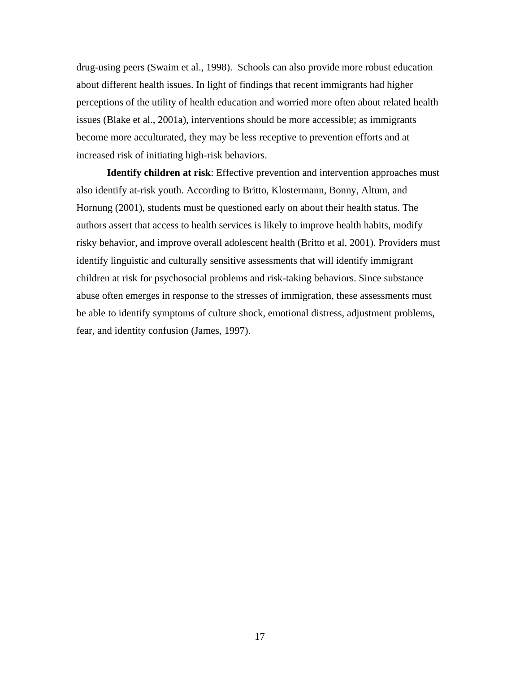drug-using peers (Swaim et al., 1998). Schools can also provide more robust education about different health issues. In light of findings that recent immigrants had higher perceptions of the utility of health education and worried more often about related health issues (Blake et al., 2001a), interventions should be more accessible; as immigrants become more acculturated, they may be less receptive to prevention efforts and at increased risk of initiating high-risk behaviors.

**Identify children at risk**: Effective prevention and intervention approaches must also identify at-risk youth. According to Britto, Klostermann, Bonny, Altum, and Hornung (2001), students must be questioned early on about their health status. The authors assert that access to health services is likely to improve health habits, modify risky behavior, and improve overall adolescent health (Britto et al, 2001). Providers must identify linguistic and culturally sensitive assessments that will identify immigrant children at risk for psychosocial problems and risk-taking behaviors. Since substance abuse often emerges in response to the stresses of immigration, these assessments must be able to identify symptoms of culture shock, emotional distress, adjustment problems, fear, and identity confusion (James, 1997).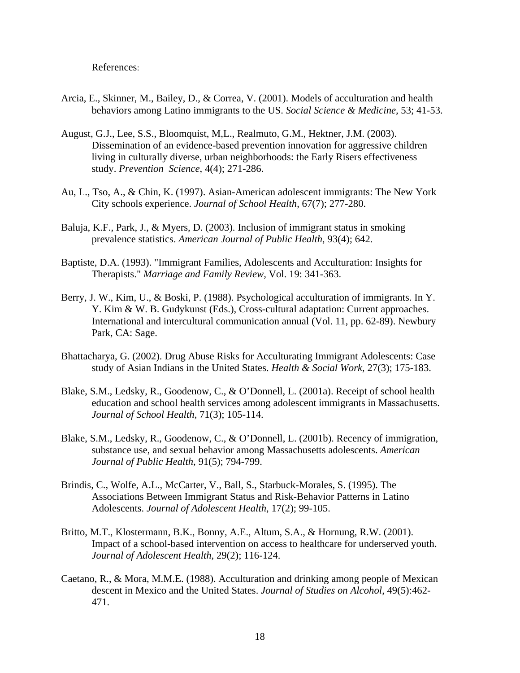#### References:

- Arcia, E., Skinner, M., Bailey, D., & Correa, V. (2001). Models of acculturation and health behaviors among Latino immigrants to the US. *Social Science & Medicine,* 53; 41-53.
- August, G.J., Lee, S.S., Bloomquist, M,L., Realmuto, G.M., Hektner, J.M. (2003). Dissemination of an evidence-based prevention innovation for aggressive children living in culturally diverse, urban neighborhoods: the Early Risers effectiveness study. *Prevention Science*, 4(4); 271-286.
- Au, L., Tso, A., & Chin, K. (1997). Asian-American adolescent immigrants: The New York City schools experience. *Journal of School Health*, 67(7); 277-280.
- Baluja, K.F., Park, J., & Myers, D. (2003). Inclusion of immigrant status in smoking prevalence statistics. *American Journal of Public Health*, 93(4); 642.
- Baptiste, D.A. (1993). "Immigrant Families, Adolescents and Acculturation: Insights for Therapists." *Marriage and Family Review,* Vol. 19: 341-363.
- Berry, J. W., Kim, U., & Boski, P. (1988). Psychological acculturation of immigrants. In Y. Y. Kim & W. B. Gudykunst (Eds.), Cross-cultural adaptation: Current approaches. International and intercultural communication annual (Vol. 11, pp. 62-89). Newbury Park, CA: Sage.
- Bhattacharya, G. (2002). Drug Abuse Risks for Acculturating Immigrant Adolescents: Case study of Asian Indians in the United States. *Health & Social Work*, 27(3); 175-183.
- Blake, S.M., Ledsky, R., Goodenow, C., & O'Donnell, L. (2001a). Receipt of school health education and school health services among adolescent immigrants in Massachusetts. *Journal of School Health*, 71(3); 105-114.
- Blake, S.M., Ledsky, R., Goodenow, C., & O'Donnell, L. (2001b). Recency of immigration, substance use, and sexual behavior among Massachusetts adolescents. *American Journal of Public Health*, 91(5); 794-799.
- Brindis, C., Wolfe, A.L., McCarter, V., Ball, S., Starbuck-Morales, S. (1995). The Associations Between Immigrant Status and Risk-Behavior Patterns in Latino Adolescents. *Journal of Adolescent Health*, 17(2); 99-105.
- Britto, M.T., Klostermann, B.K., Bonny, A.E., Altum, S.A., & Hornung, R.W. (2001). Impact of a school-based intervention on access to healthcare for underserved youth. *Journal of Adolescent Health*, 29(2); 116-124.
- Caetano, R., & Mora, M.M.E. (1988). Acculturation and drinking among people of Mexican descent in Mexico and the United States. *Journal of Studies on Alcohol*, 49(5):462- 471.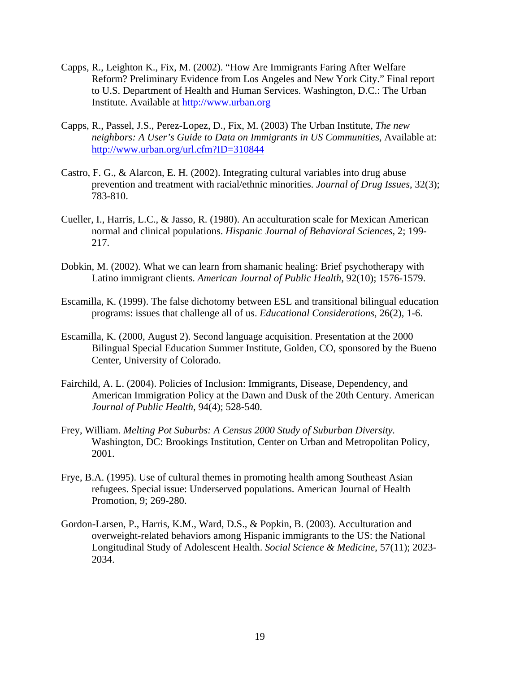- Capps, R., Leighton K., Fix, M. (2002). "How Are Immigrants Faring After Welfare Reform? Preliminary Evidence from Los Angeles and New York City." Final report to U.S. Department of Health and Human Services. Washington, D.C.: The Urban Institute. Available at http://www.urban.org
- Capps, R., Passel, J.S., Perez-Lopez, D., Fix, M. (2003) The Urban Institute, *The new neighbors: A User's Guide to Data on Immigrants in US Communities,* Available at: http://www.urban.org/url.cfm?ID=310844
- Castro, F. G., & Alarcon, E. H. (2002). Integrating cultural variables into drug abuse prevention and treatment with racial/ethnic minorities. *Journal of Drug Issues*, 32(3); 783-810.
- Cueller, I., Harris, L.C., & Jasso, R. (1980). An acculturation scale for Mexican American normal and clinical populations. *Hispanic Journal of Behavioral Sciences,* 2; 199- 217.
- Dobkin, M. (2002). What we can learn from shamanic healing: Brief psychotherapy with Latino immigrant clients. *American Journal of Public Health*, 92(10); 1576-1579.
- Escamilla, K. (1999). The false dichotomy between ESL and transitional bilingual education programs: issues that challenge all of us. *Educational Considerations*, 26(2), 1-6.
- Escamilla, K. (2000, August 2). Second language acquisition. Presentation at the 2000 Bilingual Special Education Summer Institute, Golden, CO, sponsored by the Bueno Center, University of Colorado.
- Fairchild, A. L. (2004). Policies of Inclusion: Immigrants, Disease, Dependency, and American Immigration Policy at the Dawn and Dusk of the 20th Century. American *Journal of Public Health*, 94(4); 528-540.
- Frey, William. *Melting Pot Suburbs: A Census 2000 Study of Suburban Diversity.*  Washington, DC: Brookings Institution, Center on Urban and Metropolitan Policy, 2001.
- Frye, B.A. (1995). Use of cultural themes in promoting health among Southeast Asian refugees. Special issue: Underserved populations. American Journal of Health Promotion, 9; 269-280.
- Gordon-Larsen, P., Harris, K.M., Ward, D.S., & Popkin, B. (2003). Acculturation and overweight-related behaviors among Hispanic immigrants to the US: the National Longitudinal Study of Adolescent Health. *Social Science & Medicine*, 57(11); 2023- 2034.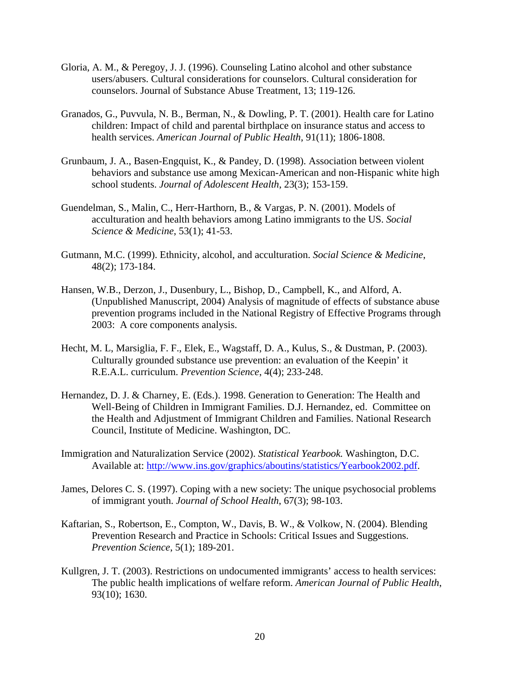- Gloria, A. M., & Peregoy, J. J. (1996). Counseling Latino alcohol and other substance users/abusers. Cultural considerations for counselors. Cultural consideration for counselors. Journal of Substance Abuse Treatment, 13; 119-126.
- Granados, G., Puvvula, N. B., Berman, N., & Dowling, P. T. (2001). Health care for Latino children: Impact of child and parental birthplace on insurance status and access to health services. *American Journal of Public Health*, 91(11); 1806-1808.
- Grunbaum, J. A., Basen-Engquist, K., & Pandey, D. (1998). Association between violent behaviors and substance use among Mexican-American and non-Hispanic white high school students. *Journal of Adolescent Health*, 23(3); 153-159.
- Guendelman, S., Malin, C., Herr-Harthorn, B., & Vargas, P. N. (2001). Models of acculturation and health behaviors among Latino immigrants to the US. *Social Science & Medicine*, 53(1); 41-53.
- Gutmann, M.C. (1999). Ethnicity, alcohol, and acculturation. *Social Science & Medicine*, 48(2); 173-184.
- Hansen, W.B., Derzon, J., Dusenbury, L., Bishop, D., Campbell, K., and Alford, A. (Unpublished Manuscript, 2004) Analysis of magnitude of effects of substance abuse prevention programs included in the National Registry of Effective Programs through 2003: A core components analysis.
- Hecht, M. L, Marsiglia, F. F., Elek, E., Wagstaff, D. A., Kulus, S., & Dustman, P. (2003). Culturally grounded substance use prevention: an evaluation of the Keepin' it R.E.A.L. curriculum. *Prevention Science*, 4(4); 233-248.
- Hernandez, D. J. & Charney, E. (Eds.). 1998. Generation to Generation: The Health and Well-Being of Children in Immigrant Families. D.J. Hernandez, ed. Committee on the Health and Adjustment of Immigrant Children and Families. National Research Council, Institute of Medicine. Washington, DC.
- Immigration and Naturalization Service (2002). *Statistical Yearbook.* Washington, D.C. Available at: http://www.ins.gov/graphics/aboutins/statistics/Yearbook2002.pdf.
- James, Delores C. S. (1997). Coping with a new society: The unique psychosocial problems of immigrant youth. *Journal of School Health*, 67(3); 98-103.
- Kaftarian, S., Robertson, E., Compton, W., Davis, B. W., & Volkow, N. (2004). Blending Prevention Research and Practice in Schools: Critical Issues and Suggestions. *Prevention Science*, 5(1); 189-201.
- Kullgren, J. T. (2003). Restrictions on undocumented immigrants' access to health services: The public health implications of welfare reform. *American Journal of Public Health*, 93(10); 1630.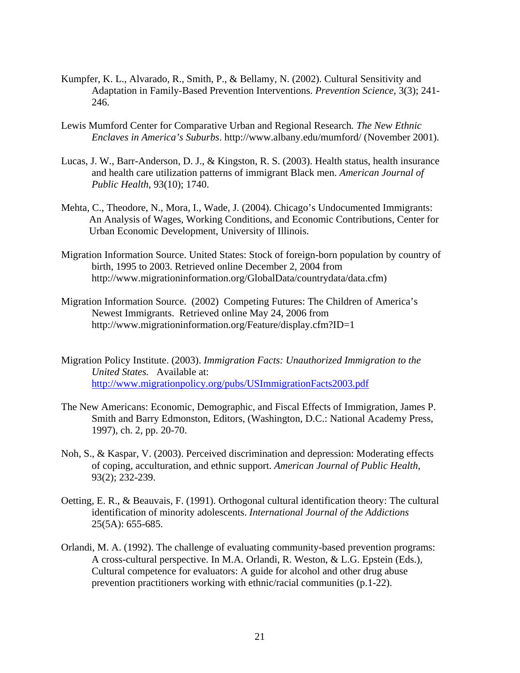- Kumpfer, K. L., Alvarado, R., Smith, P., & Bellamy, N. (2002). Cultural Sensitivity and Adaptation in Family-Based Prevention Interventions. *Prevention Science*, 3(3); 241- 246.
- Lewis Mumford Center for Comparative Urban and Regional Research*. The New Ethnic Enclaves in America's Suburbs*. http://www.albany.edu/mumford/ (November 2001).
- Lucas, J. W., Barr-Anderson, D. J., & Kingston, R. S. (2003). Health status, health insurance and health care utilization patterns of immigrant Black men. *American Journal of Public Health*, 93(10); 1740.
- Mehta, C., Theodore, N., Mora, I., Wade, J. (2004). Chicago's Undocumented Immigrants: An Analysis of Wages, Working Conditions, and Economic Contributions, Center for Urban Economic Development, University of Illinois.
- Migration Information Source. United States: Stock of foreign-born population by country of birth, 1995 to 2003. Retrieved online December 2, 2004 from http://www.migrationinformation.org/GlobalData/countrydata/data.cfm)
- Migration Information Source. (2002) Competing Futures: The Children of America's Newest Immigrants. Retrieved online May 24, 2006 from http://www.migrationinformation.org/Feature/display.cfm?ID=1
- Migration Policy Institute. (2003). *Immigration Facts: Unauthorized Immigration to the United States.* Available at: http://www.migrationpolicy.org/pubs/USImmigrationFacts2003.pdf
- The New Americans: Economic, Demographic, and Fiscal Effects of Immigration, James P. Smith and Barry Edmonston, Editors, (Washington, D.C.: National Academy Press, 1997), ch. 2, pp. 20-70.
- Noh, S., & Kaspar, V. (2003). Perceived discrimination and depression: Moderating effects of coping, acculturation, and ethnic support. *American Journal of Public Health*, 93(2); 232-239.
- Oetting, E. R., & Beauvais, F. (1991). Orthogonal cultural identification theory: The cultural identification of minority adolescents. *International Journal of the Addictions* 25(5A): 655-685.
- Orlandi, M. A. (1992). The challenge of evaluating community-based prevention programs: A cross-cultural perspective. In M.A. Orlandi, R. Weston, & L.G. Epstein (Eds.), Cultural competence for evaluators: A guide for alcohol and other drug abuse prevention practitioners working with ethnic/racial communities (p.1-22).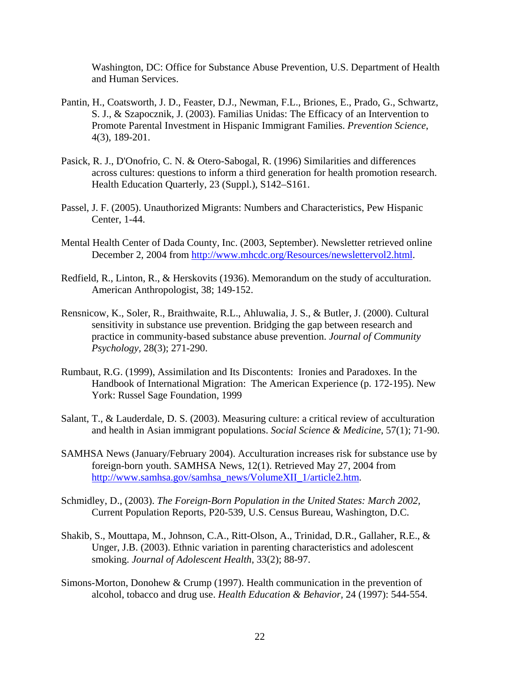Washington, DC: Office for Substance Abuse Prevention, U.S. Department of Health and Human Services.

- Pantin, H., Coatsworth, J. D., Feaster, D.J., Newman, F.L., Briones, E., Prado, G., Schwartz, S. J., & Szapocznik, J. (2003). Familias Unidas: The Efficacy of an Intervention to Promote Parental Investment in Hispanic Immigrant Families. *Prevention Science*, 4(3), 189-201.
- Pasick, R. J., D'Onofrio, C. N. & Otero-Sabogal, R. (1996) Similarities and differences across cultures: questions to inform a third generation for health promotion research. Health Education Quarterly, 23 (Suppl.), S142–S161.
- Passel, J. F. (2005). Unauthorized Migrants: Numbers and Characteristics, Pew Hispanic Center, 1-44.
- Mental Health Center of Dada County, Inc. (2003, September). Newsletter retrieved online December 2, 2004 from http://www.mhcdc.org/Resources/newslettervol2.html.
- Redfield, R., Linton, R., & Herskovits (1936). Memorandum on the study of acculturation. American Anthropologist, 38; 149-152.
- Rensnicow, K., Soler, R., Braithwaite, R.L., Ahluwalia, J. S., & Butler, J. (2000). Cultural sensitivity in substance use prevention. Bridging the gap between research and practice in community-based substance abuse prevention. *Journal of Community Psychology,* 28(3); 271-290.
- Rumbaut, R.G. (1999), Assimilation and Its Discontents: Ironies and Paradoxes. In the Handbook of International Migration: The American Experience (p. 172-195). New York: Russel Sage Foundation, 1999
- Salant, T., & Lauderdale, D. S. (2003). Measuring culture: a critical review of acculturation and health in Asian immigrant populations. *Social Science & Medicine*, 57(1); 71-90.
- SAMHSA News (January/February 2004). Acculturation increases risk for substance use by foreign-born youth. SAMHSA News, 12(1). Retrieved May 27, 2004 from http://www.samhsa.gov/samhsa\_news/VolumeXII\_1/article2.htm.
- Schmidley, D., (2003). *The Foreign-Born Population in the United States: March 2002,*  Current Population Reports, P20-539, U.S. Census Bureau, Washington, D.C.
- Shakib, S., Mouttapa, M., Johnson, C.A., Ritt-Olson, A., Trinidad, D.R., Gallaher, R.E., & Unger, J.B. (2003). Ethnic variation in parenting characteristics and adolescent smoking. *Journal of Adolescent Health*, 33(2); 88-97.
- Simons-Morton, Donohew & Crump (1997). Health communication in the prevention of alcohol, tobacco and drug use. *Health Education & Behavior,* 24 (1997): 544-554.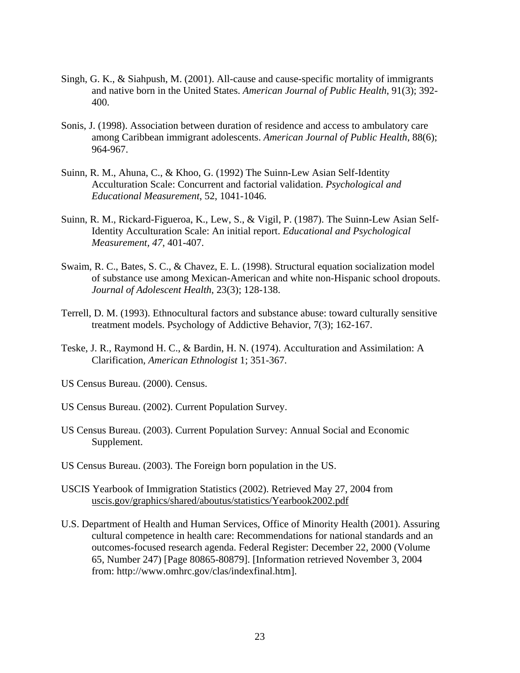- Singh, G. K., & Siahpush, M. (2001). All-cause and cause-specific mortality of immigrants and native born in the United States. *American Journal of Public Health*, 91(3); 392- 400.
- Sonis, J. (1998). Association between duration of residence and access to ambulatory care among Caribbean immigrant adolescents. *American Journal of Public Health*, 88(6); 964-967.
- Suinn, R. M., Ahuna, C., & Khoo, G. (1992) The Suinn-Lew Asian Self-Identity Acculturation Scale: Concurrent and factorial validation. *Psychological and Educational Measurement*, 52, 1041-1046.
- Suinn, R. M., Rickard-Figueroa, K., Lew, S., & Vigil, P. (1987). The Suinn-Lew Asian Self-Identity Acculturation Scale: An initial report. *Educational and Psychological Measurement, 47*, 401-407.
- Swaim, R. C., Bates, S. C., & Chavez, E. L. (1998). Structural equation socialization model of substance use among Mexican-American and white non-Hispanic school dropouts. *Journal of Adolescent Health*, 23(3); 128-138.
- Terrell, D. M. (1993). Ethnocultural factors and substance abuse: toward culturally sensitive treatment models. Psychology of Addictive Behavior, 7(3); 162-167.
- Teske, J. R., Raymond H. C., & Bardin, H. N. (1974). Acculturation and Assimilation: A Clarification, *American Ethnologist* 1; 351-367.
- US Census Bureau. (2000). Census.
- US Census Bureau. (2002). Current Population Survey.
- US Census Bureau. (2003). Current Population Survey: Annual Social and Economic Supplement.
- US Census Bureau. (2003). The Foreign born population in the US.
- USCIS Yearbook of Immigration Statistics (2002). Retrieved May 27, 2004 from uscis.gov/graphics/shared/aboutus/statistics/Yearbook2002.pdf
- U.S. Department of Health and Human Services, Office of Minority Health (2001). Assuring cultural competence in health care: Recommendations for national standards and an outcomes-focused research agenda. Federal Register: December 22, 2000 (Volume 65, Number 247) [Page 80865-80879]. [Information retrieved November 3, 2004 from: http://www.omhrc.gov/clas/indexfinal.htm].